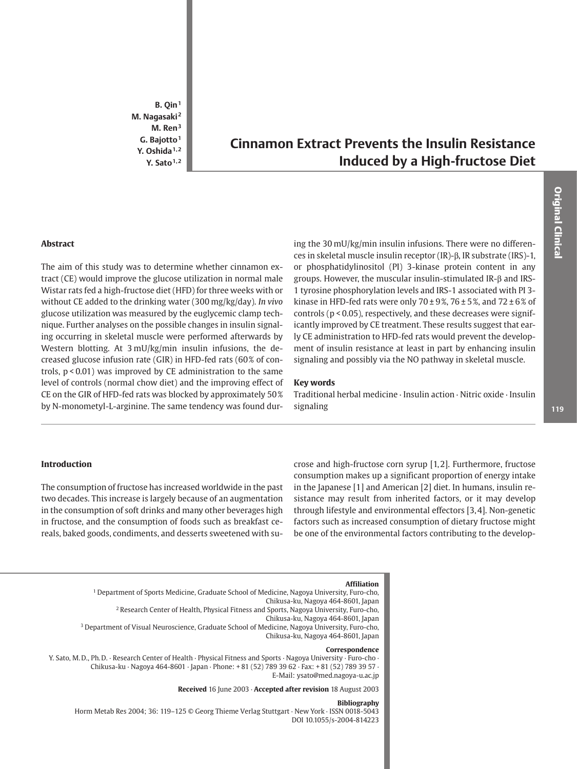$B.$  Qin<sup>1</sup> M. Nagasaki<sup>2</sup>  $M.$  Ren<sup>3</sup> G. Bajotto<sup>1</sup> Y. Oshida<sup>1,2</sup> Y. Sato $1,2$ 

# **Cinnamon Extract Prevents the Insulin Resistance Induced by a High-fructose Diet**

# **Abstract**

The aim of this study was to determine whether cinnamon extract (CE) would improve the glucose utilization in normal male Wistar rats fed a high-fructose diet (HFD) for three weeks with or without CE added to the drinking water (300 mg/kg/day). In vivo glucose utilization was measured by the euglycemic clamp technique. Further analyses on the possible changes in insulin signaling occurring in skeletal muscle were performed afterwards by Western blotting. At 3 mU/kg/min insulin infusions, the decreased glucose infusion rate (GIR) in HFD-fed rats (60% of controls,  $p < 0.01$ ) was improved by CE administration to the same level of controls (normal chow diet) and the improving effect of CE on the GIR of HFD-fed rats was blocked by approximately 50% by N-monometyl-L-arginine. The same tendency was found dur-

ing the 30 mU/kg/min insulin infusions. There were no differences in skeletal muscle insulin receptor (IR)-β, IR substrate (IRS)-1, or phosphatidylinositol (PI) 3-kinase protein content in any groups. However, the muscular insulin-stimulated IR- $\beta$  and IRS-1 tyrosine phosphorylation levels and IRS-1 associated with PI 3kinase in HFD-fed rats were only  $70 \pm 9\%$ ,  $76 \pm 5\%$ , and  $72 \pm 6\%$  of controls ( $p < 0.05$ ), respectively, and these decreases were significantly improved by CE treatment. These results suggest that early CE administration to HFD-fed rats would prevent the development of insulin resistance at least in part by enhancing insulin signaling and possibly via the NO pathway in skeletal muscle.

#### **Key words**

Traditional herbal medicine · Insulin action · Nitric oxide · Insulin signaling

**Original Clinical** 

# Introduction

The consumption of fructose has increased worldwide in the past two decades. This increase is largely because of an augmentation in the consumption of soft drinks and many other beverages high in fructose, and the consumption of foods such as breakfast cereals, baked goods, condiments, and desserts sweetened with sucrose and high-fructose corn syrup [1,2]. Furthermore, fructose consumption makes up a significant proportion of energy intake in the Japanese [1] and American [2] diet. In humans, insulin resistance may result from inherited factors, or it may develop through lifestyle and environmental effectors [3,4]. Non-genetic factors such as increased consumption of dietary fructose might be one of the environmental factors contributing to the develop-

#### **Affiliation**

<sup>1</sup> Department of Sports Medicine, Graduate School of Medicine, Nagoya University, Furo-cho, Chikusa-ku, Nagoya 464-8601, Japan <sup>2</sup> Research Center of Health, Physical Fitness and Sports, Nagoya University, Furo-cho, Chikusa-ku, Nagoya 464-8601, Japan <sup>3</sup> Department of Visual Neuroscience, Graduate School of Medicine, Nagoya University, Furo-cho, Chikusa-ku, Nagoya 464-8601, Japan Correspondence

Y. Sato, M.D., Ph.D. · Research Center of Health · Physical Fitness and Sports · Nagoya University · Furo-cho · Chikusa-ku · Nagoya 464-8601 · Japan · Phone: +81 (52) 789 39 62 · Fax: +81 (52) 789 39 57 · E-Mail: ysato@med.nagoya-u.ac.jp

Received 16 June 2003 · Accepted after revision 18 August 2003

#### **Bibliography**

Horm Metab Res 2004; 36: 119-125 © Georg Thieme Verlag Stuttgart · New York · ISSN 0018-5043 DOI 10.1055/s-2004-814223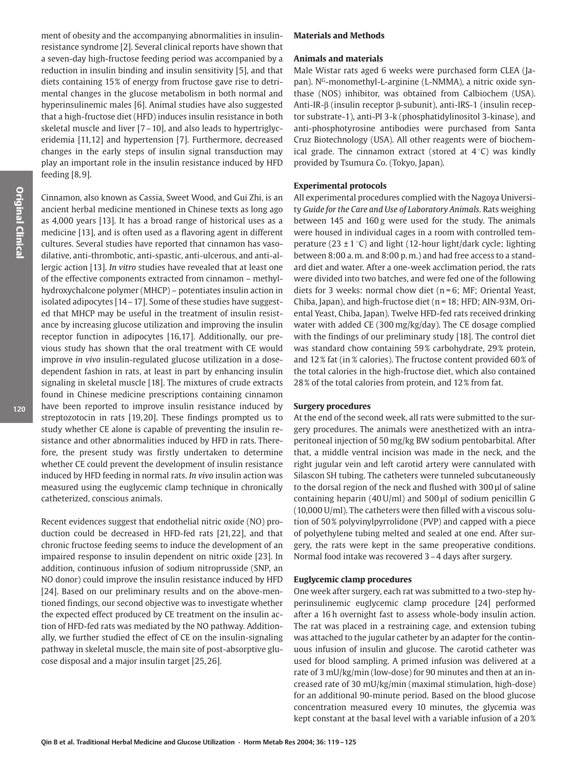ment of obesity and the accompanying abnormalities in insulinresistance syndrome [2]. Several clinical reports have shown that a seven-day high-fructose feeding period was accompanied by a reduction in insulin binding and insulin sensitivity [5], and that diets containing 15% of energy from fructose gave rise to detrimental changes in the glucose metabolism in both normal and hyperinsulinemic males [6]. Animal studies have also suggested that a high-fructose diet (HFD) induces insulin resistance in both skeletal muscle and liver [7 – 10], and also leads to hypertriglyceridemia [11,12] and hypertension [7]. Furthermore, decreased changes in the early steps of insulin signal transduction may play an important role in the insulin resistance induced by HFD feeding [8,9].

Cinnamon, also known as Cassia, Sweet Wood, and Gui Zhi, is an ancient herbal medicine mentioned in Chinese texts as long ago as 4,000 years [13]. It has a broad range of historical uses as a medicine [13], and is often used as a flavoring agent in different cultures. Several studies have reported that cinnamon has vasodilative, anti-thrombotic, anti-spastic, anti-ulcerous, and anti-allergic action [13]. In vitro studies have revealed that at least one of the effective components extracted from cinnamon - methylhydroxychalcone polymer (MHCP) - potentiates insulin action in isolated adipocytes [14 – 17]. Some of these studies have suggested that MHCP may be useful in the treatment of insulin resistance by increasing glucose utilization and improving the insulin receptor function in adipocytes [16,17]. Additionally, our previous study has shown that the oral treatment with CE would improve in vivo insulin-regulated glucose utilization in a dosedependent fashion in rats, at least in part by enhancing insulin signaling in skeletal muscle [18]. The mixtures of crude extracts found in Chinese medicine prescriptions containing cinnamon have been reported to improve insulin resistance induced by streptozotocin in rats [19,20]. These findings prompted us to study whether CE alone is capable of preventing the insulin resistance and other abnormalities induced by HFD in rats. Therefore, the present study was firstly undertaken to determine whether CE could prevent the development of insulin resistance induced by HFD feeding in normal rats. In vivo insulin action was measured using the euglycemic clamp technique in chronically catheterized, conscious animals.

Recent evidences suggest that endothelial nitric oxide (NO) production could be decreased in HFD-fed rats [21,22], and that chronic fructose feeding seems to induce the development of an impaired response to insulin dependent on nitric oxide [23]. In addition, continuous infusion of sodium nitroprusside (SNP, an NO donor) could improve the insulin resistance induced by HFD [24]. Based on our preliminary results and on the above-mentioned findings, our second objective was to investigate whether the expected effect produced by CE treatment on the insulin action of HFD-fed rats was mediated by the NO pathway. Additionally, we further studied the effect of CE on the insulin-signaling pathway in skeletal muscle, the main site of post-absorptive glucose disposal and a major insulin target [25,26].

## **Materials and Methods**

#### **Animals and materials**

Male Wistar rats aged 6 weeks were purchased form CLEA (Japan). N<sup>G</sup>-monomethyl-L-arginine (L-NMMA), a nitric oxide synthase (NOS) inhibitor, was obtained from Calbiochem (USA). Anti-IR- $\beta$  (insulin receptor  $\beta$ -subunit), anti-IRS-1 (insulin receptor substrate-1), anti-PI 3-k (phosphatidylinositol 3-kinase), and anti-phosphotyrosine antibodies were purchased from Santa Cruz Biotechnology (USA). All other reagents were of biochemical grade. The cinnamon extract (stored at  $4^{\circ}$ C) was kindly provided by Tsumura Co. (Tokyo, Japan).

#### **Experimental protocols**

All experimental procedures complied with the Nagoya University Guide for the Care and Use of Laboratory Animals. Rats weighing between 145 and 160 g were used for the study. The animals were housed in individual cages in a room with controlled temperature (23  $\pm$  1 °C) and light (12-hour light/dark cycle; lighting between 8:00 a.m. and 8:00 p.m.) and had free access to a standard diet and water. After a one-week acclimation period, the rats were divided into two batches, and were fed one of the following diets for 3 weeks: normal chow diet ( $n = 6$ ; MF; Oriental Yeast, Chiba, Japan), and high-fructose diet (n = 18; HFD; AIN-93M, Oriental Yeast, Chiba, Japan). Twelve HFD-fed rats received drinking water with added CE (300 mg/kg/day). The CE dosage complied with the findings of our preliminary study [18]. The control diet was standard chow containing 59% carbohydrate, 29% protein, and 12% fat (in % calories). The fructose content provided 60% of the total calories in the high-fructose diet, which also contained 28% of the total calories from protein, and 12% from fat.

#### **Surgery procedures**

At the end of the second week, all rats were submitted to the surgery procedures. The animals were anesthetized with an intraperitoneal injection of 50 mg/kg BW sodium pentobarbital. After that, a middle ventral incision was made in the neck, and the right jugular vein and left carotid artery were cannulated with Silascon SH tubing. The catheters were tunneled subcutaneously to the dorsal region of the neck and flushed with 300 µl of saline containing heparin (40 U/ml) and 500 µl of sodium penicillin G (10,000 U/ml). The catheters were then filled with a viscous solution of 50% polyvinylpyrrolidone (PVP) and capped with a piece of polyethylene tubing melted and sealed at one end. After surgery, the rats were kept in the same preoperative conditions. Normal food intake was recovered 3-4 days after surgery.

### **Euglycemic clamp procedures**

One week after surgery, each rat was submitted to a two-step hyperinsulinemic euglycemic clamp procedure [24] performed after a 16 h overnight fast to assess whole-body insulin action. The rat was placed in a restraining cage, and extension tubing was attached to the jugular catheter by an adapter for the continuous infusion of insulin and glucose. The carotid catheter was used for blood sampling. A primed infusion was delivered at a rate of 3 mU/kg/min (low-dose) for 90 minutes and then at an increased rate of 30 mU/kg/min (maximal stimulation, high-dose) for an additional 90-minute period. Based on the blood glucose concentration measured every 10 minutes, the glycemia was kept constant at the basal level with a variable infusion of a 20%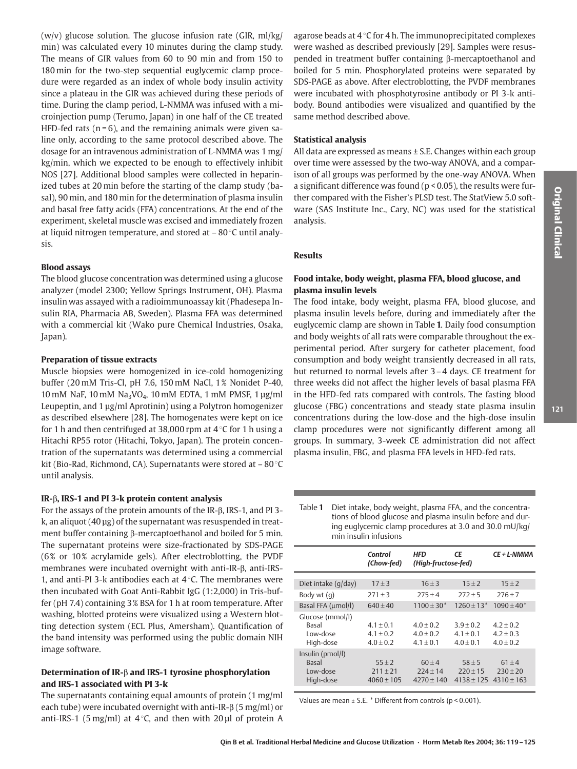$(w/v)$  glucose solution. The glucose infusion rate (GIR, ml/kg/ min) was calculated every 10 minutes during the clamp study. The means of GIR values from 60 to 90 min and from 150 to 180 min for the two-step sequential euglycemic clamp procedure were regarded as an index of whole body insulin activity since a plateau in the GIR was achieved during these periods of time. During the clamp period, L-NMMA was infused with a microinjection pump (Terumo, Japan) in one half of the CE treated HFD-fed rats ( $n = 6$ ), and the remaining animals were given saline only, according to the same protocol described above. The dosage for an intravenous administration of L-NMMA was 1 mg/ kg/min, which we expected to be enough to effectively inhibit NOS [27]. Additional blood samples were collected in heparinized tubes at 20 min before the starting of the clamp study (basal). 90 min. and 180 min for the determination of plasma insulin and basal free fatty acids (FFA) concentrations. At the end of the experiment, skeletal muscle was excised and immediately frozen at liquid nitrogen temperature, and stored at  $-80^{\circ}$ C until analy- $\overline{\text{cis}}$ 

#### **Blood assays**

The blood glucose concentration was determined using a glucose analyzer (model 2300; Yellow Springs Instrument, OH). Plasma insulin was assayed with a radioimmunoassay kit (Phadesepa Insulin RIA, Pharmacia AB, Sweden). Plasma FFA was determined with a commercial kit (Wako pure Chemical Industries, Osaka, Japan).

#### **Preparation of tissue extracts**

Muscle biopsies were homogenized in ice-cold homogenizing buffer (20 mM Tris-Cl, pH 7.6, 150 mM NaCl, 1% Nonidet P-40, 10 mM NaF, 10 mM Na<sub>3</sub>VO<sub>4</sub>, 10 mM EDTA, 1 mM PMSF, 1 μg/ml Leupeptin, and 1 µg/ml Aprotinin) using a Polytron homogenizer as described elsewhere [28]. The homogenates were kept on ice for 1 h and then centrifuged at 38,000 rpm at  $4^{\circ}$ C for 1 h using a Hitachi RP55 rotor (Hitachi, Tokyo, Japan). The protein concentration of the supernatants was determined using a commercial kit (Bio-Rad, Richmond, CA). Supernatants were stored at  $-80^{\circ}$ C until analysis.

# IR- $\beta$ , IRS-1 and PI 3-k protein content analysis

For the assays of the protein amounts of the IR- $\beta$ , IRS-1, and PI 3k, an aliquot (40 µg) of the supernatant was resuspended in treatment buffer containing  $\beta$ -mercaptoethanol and boiled for 5 min. The supernatant proteins were size-fractionated by SDS-PAGE (6% or 10% acrylamide gels). After electroblotting, the PVDF membranes were incubated overnight with anti-IR-B, anti-IRS-1, and anti-PI 3-k antibodies each at  $4^{\circ}$ C. The membranes were then incubated with Goat Anti-Rabbit IgG (1:2,000) in Tris-buffer (pH 7.4) containing 3% BSA for 1 h at room temperature. After washing, blotted proteins were visualized using a Western blotting detection system (ECL Plus, Amersham). Quantification of the band intensity was performed using the public domain NIH image software.

# Determination of IR- $\beta$  and IRS-1 tyrosine phosphorylation and IRS-1 associated with PI 3-k

The supernatants containing equal amounts of protein (1 mg/ml) each tube) were incubated overnight with anti-IR- $\beta$  (5 mg/ml) or anti-IRS-1 (5 mg/ml) at 4 °C, and then with 20  $\mu$ l of protein A agarose beads at  $4^{\circ}$ C for 4 h. The immunoprecipitated complexes were washed as described previously [29]. Samples were resuspended in treatment buffer containing B-mercaptoethanol and boiled for 5 min. Phosphorylated proteins were separated by SDS-PAGE as above. After electroblotting, the PVDF membranes were incubated with phosphotyrosine antibody or PI 3-k antibody. Bound antibodies were visualized and quantified by the same method described above.

#### **Statistical analysis**

All data are expressed as means ± S.E. Changes within each group over time were assessed by the two-way ANOVA, and a comparison of all groups was performed by the one-way ANOVA. When a significant difference was found ( $p < 0.05$ ), the results were further compared with the Fisher's PLSD test. The StatView 5.0 software (SAS Institute Inc., Cary, NC) was used for the statistical analysis.

# **Results**

# Food intake, body weight, plasma FFA, blood glucose, and plasma insulin levels

The food intake, body weight, plasma FFA, blood glucose, and plasma insulin levels before, during and immediately after the euglycemic clamp are shown in Table 1. Daily food consumption and body weights of all rats were comparable throughout the experimental period. After surgery for catheter placement, food consumption and body weight transiently decreased in all rats, but returned to normal levels after 3-4 days. CE treatment for three weeks did not affect the higher levels of basal plasma FFA in the HFD-fed rats compared with controls. The fasting blood glucose (FBG) concentrations and steady state plasma insulin concentrations during the low-dose and the high-dose insulin clamp procedures were not significantly different among all groups. In summary, 3-week CE administration did not affect plasma insulin, FBG, and plasma FFA levels in HFD-fed rats.

Table 1 Diet intake, body weight, plasma FFA, and the concentrations of blood glucose and plasma insulin before and during euglycemic clamp procedures at 3.0 and 30.0 mU/kg/ min insulin infusions

|                     | Control<br>(Chow-fed) | HFD<br>(High-fructose-fed) | СE            | CE + L-NMMA     |
|---------------------|-----------------------|----------------------------|---------------|-----------------|
|                     |                       |                            |               |                 |
| Diet intake (g/day) | $17 + 3$              | $16 + 3$                   | $15 + 2$      | $15 + 2$        |
| Body wt (q)         | $271 + 3$             | $275 + 4$                  | $272 + 5$     | $276 + 7$       |
| Basal FFA (umol/l)  | $640 + 40$            | $1100 \pm 30*$             | $1260 + 13*$  | $1090 \pm 40^*$ |
| Glucose (mmol/l)    |                       |                            |               |                 |
| Basal               | $4.1 \pm 0.1$         | $4.0 + 0.2$                | $3.9 + 0.2$   | $4.2 + 0.2$     |
| Low-dose            | $4.1 \pm 0.2$         | $4.0 + 0.2$                | $4.1 \pm 0.1$ | $4.2 + 0.3$     |
| High-dose           | $4.0 + 0.2$           | $4.1 \pm 0.1$              | $4.0 + 0.1$   | $4.0 + 0.2$     |
| Insulin (pmol/l)    |                       |                            |               |                 |
| Basal               | $55 + 2$              | $60 + 4$                   | $58 + 5$      | $61 + 4$        |
| Low-dose            | $211 + 21$            | $224 + 14$                 | $220 + 15$    | $230 + 20$      |
| High-dose           | $4060 + 105$          | $4270 \pm 140$             | $4138 + 125$  | $4310 + 163$    |

Values are mean  $\pm$  S.E. \* Different from controls (p < 0.001).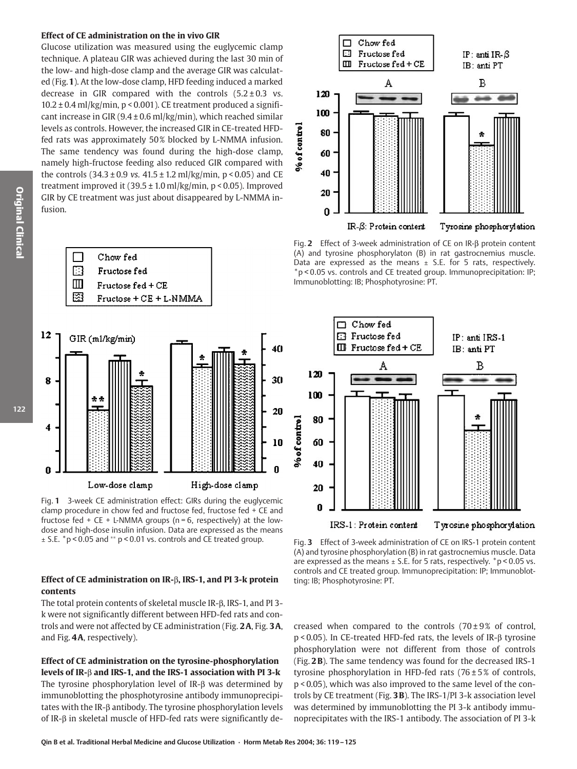#### Effect of CE administration on the in vivo GIR

Glucose utilization was measured using the euglycemic clamp technique. A plateau GIR was achieved during the last 30 min of the low- and high-dose clamp and the average GIR was calculated (Fig. 1). At the low-dose clamp, HFD feeding induced a marked decrease in GIR compared with the controls  $(5.2 \pm 0.3 \text{ vs.})$  $10.2 \pm 0.4$  ml/kg/min, p < 0.001). CE treatment produced a significant increase in GIR  $(9.4 \pm 0.6 \text{ ml/kg/min})$ , which reached similar levels as controls. However, the increased GIR in CE-treated HFDfed rats was approximately 50% blocked by L-NMMA infusion. The same tendency was found during the high-dose clamp, namely high-fructose feeding also reduced GIR compared with the controls  $(34.3 \pm 0.9 \text{ vs. } 41.5 \pm 1.2 \text{ ml/kg/min}, p < 0.05)$  and CE treatment improved it  $(39.5 \pm 1.0 \text{ ml/kg/min}, p < 0.05)$ . Improved GIR by CE treatment was just about disappeared by L-NMMA infusion.



High-dose clamp

Fig. 1 3-week CE administration effect: GIRs during the euglycemic clamp procedure in chow fed and fructose fed, fructose fed + CE and fructose fed + CE + L-NMMA groups ( $n = 6$ , respectively) at the lowdose and high-dose insulin infusion. Data are expressed as the means  $\pm$  S.E. \*p < 0.05 and \*\* p < 0.01 vs. controls and CE treated group.

Low-dose clamp

# Effect of CE administration on IR- $\beta$ , IRS-1, and PI 3-k protein contents

The total protein contents of skeletal muscle IR-B, IRS-1, and PI 3k were not significantly different between HFD-fed rats and controls and were not affected by CE administration (Fig. 2A. Fig. 3A. and Fig. 4A, respectively).

Effect of CE administration on the tyrosine-phosphorylation levels of IR- $\beta$  and IRS-1, and the IRS-1 association with PI 3-k The tyrosine phosphorylation level of IR-B was determined by immunoblotting the phosphotyrosine antibody immunoprecipitates with the IR- $\beta$  antibody. The tyrosine phosphorylation levels of IR- $\beta$  in skeletal muscle of HFD-fed rats were significantly de-



Fig. 2 Effect of 3-week administration of CE on IR-B protein content (A) and tyrosine phosphorylaton (B) in rat qastrocnemius muscle. Data are expressed as the means  $\pm$  S.E. for 5 rats, respectively. \*p < 0.05 vs. controls and CE treated group. Immunoprecipitation: IP; Immunoblotting: IB; Phosphotyrosine: PT.



Fig. 3 Effect of 3-week administration of CE on IRS-1 protein content (A) and tyrosine phosphorylation (B) in rat qastrocnemius muscle. Data are expressed as the means  $\pm$  S.E. for 5 rats, respectively.  $*$  p < 0.05 vs. controls and CE treated group. Immunoprecipitation: IP; Immunoblotting: IB; Phosphotyrosine: PT.

creased when compared to the controls  $(70\pm9\%$  of control,  $p$  < 0.05). In CE-treated HFD-fed rats, the levels of IR- $\beta$  tyrosine phosphorylation were not different from those of controls (Fig. 2B). The same tendency was found for the decreased IRS-1 tyrosine phosphorylation in HFD-fed rats  $(76 \pm 5\%$  of controls, p < 0.05), which was also improved to the same level of the controls by CE treatment (Fig. 3B). The IRS-1/PI 3-k association level was determined by immunoblotting the PI 3-k antibody immunoprecipitates with the IRS-1 antibody. The association of PI 3-k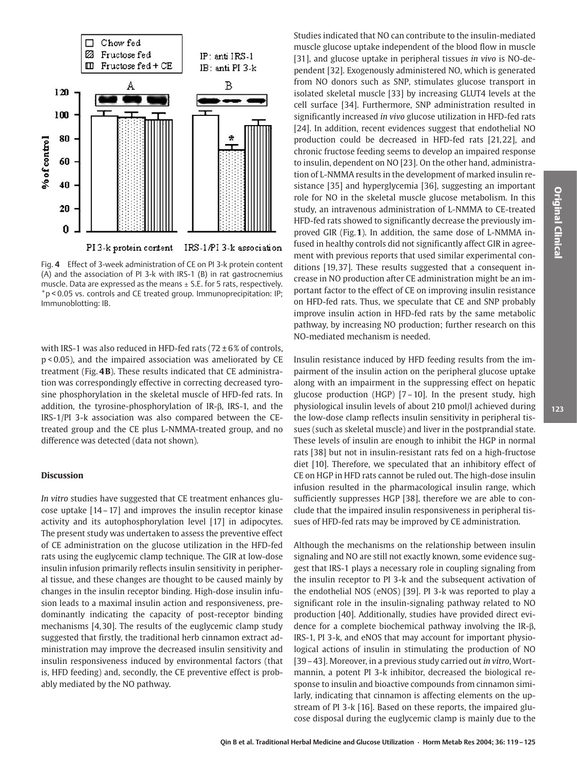

Fig. 4 Effect of 3-week administration of CE on PI 3-k protein content (A) and the association of PI 3-k with IRS-1 (B) in rat gastrocnemius muscle. Data are expressed as the means  $\pm$  S.E. for 5 rats, respectively. \*p < 0.05 vs. controls and CE treated group. Immunoprecipitation: IP; Immunoblotting: IB.

with IRS-1 was also reduced in HFD-fed rats ( $72 \pm 6\%$  of controls,  $p$  < 0.05), and the impaired association was ameliorated by CE treatment (Fig. 4B). These results indicated that CE administration was correspondingly effective in correcting decreased tyrosine phosphorylation in the skeletal muscle of HFD-fed rats. In addition, the tyrosine-phosphorylation of IR- $\beta$ , IRS-1, and the IRS-1/PI 3-k association was also compared between the CEtreated group and the CE plus L-NMMA-treated group, and no difference was detected (data not shown).

#### **Discussion**

In vitro studies have suggested that CE treatment enhances glucose uptake  $[14-17]$  and improves the insulin receptor kinase activity and its autophosphorylation level [17] in adipocytes. The present study was undertaken to assess the preventive effect of CE administration on the glucose utilization in the HFD-fed rats using the euglycemic clamp technique. The GIR at low-dose insulin infusion primarily reflects insulin sensitivity in peripheral tissue, and these changes are thought to be caused mainly by changes in the insulin receptor binding. High-dose insulin infusion leads to a maximal insulin action and responsiveness, predominantly indicating the capacity of post-receptor binding mechanisms [4,30]. The results of the euglycemic clamp study suggested that firstly, the traditional herb cinnamon extract administration may improve the decreased insulin sensitivity and insulin responsiveness induced by environmental factors (that is, HFD feeding) and, secondly, the CE preventive effect is probably mediated by the NO pathway.

Studies indicated that NO can contribute to the insulin-mediated muscle glucose uptake independent of the blood flow in muscle [31], and glucose uptake in peripheral tissues in vivo is NO-dependent [32]. Exogenously administered NO, which is generated from NO donors such as SNP, stimulates glucose transport in isolated skeletal muscle [33] by increasing GLUT4 levels at the cell surface [34]. Furthermore, SNP administration resulted in significantly increased in vivo glucose utilization in HFD-fed rats [24]. In addition, recent evidences suggest that endothelial NO production could be decreased in HFD-fed rats [21,22], and chronic fructose feeding seems to develop an impaired response to insulin, dependent on NO [23]. On the other hand, administration of L-NMMA results in the development of marked insulin resistance [35] and hyperglycemia [36], suggesting an important role for NO in the skeletal muscle glucose metabolism. In this study, an intravenous administration of L-NMMA to CE-treated HFD-fed rats showed to significantly decrease the previously improved GIR (Fig.1). In addition, the same dose of L-NMMA infused in healthy controls did not significantly affect GIR in agreement with previous reports that used similar experimental conditions [19,37]. These results suggested that a consequent increase in NO production after CE administration might be an important factor to the effect of CE on improving insulin resistance on HFD-fed rats. Thus, we speculate that CE and SNP probably improve insulin action in HFD-fed rats by the same metabolic pathway, by increasing NO production; further research on this NO-mediated mechanism is needed.

Insulin resistance induced by HFD feeding results from the impairment of the insulin action on the peripheral glucose uptake along with an impairment in the suppressing effect on hepatic glucose production (HGP)  $[7-10]$ . In the present study, high physiological insulin levels of about 210 pmol/l achieved during the low-dose clamp reflects insulin sensitivity in peripheral tissues (such as skeletal muscle) and liver in the postprandial state. These levels of insulin are enough to inhibit the HGP in normal rats [38] but not in insulin-resistant rats fed on a high-fructose diet [10]. Therefore, we speculated that an inhibitory effect of CE on HGP in HFD rats cannot be ruled out. The high-dose insulin infusion resulted in the pharmacological insulin range, which sufficiently suppresses HGP [38], therefore we are able to conclude that the impaired insulin responsiveness in peripheral tissues of HFD-fed rats may be improved by CE administration.

Although the mechanisms on the relationship between insulin signaling and NO are still not exactly known, some evidence suggest that IRS-1 plays a necessary role in coupling signaling from the insulin receptor to PI 3-k and the subsequent activation of the endothelial NOS (eNOS) [39]. PI 3-k was reported to play a significant role in the insulin-signaling pathway related to NO production [40]. Additionally, studies have provided direct evidence for a complete biochemical pathway involving the IR- $\beta$ , IRS-1, PI 3-k, and eNOS that may account for important physiological actions of insulin in stimulating the production of NO [39-43]. Moreover, in a previous study carried out in vitro, Wortmannin, a potent PI 3-k inhibitor, decreased the biological response to insulin and bioactive compounds from cinnamon similarly, indicating that cinnamon is affecting elements on the upstream of PI 3-k [16]. Based on these reports, the impaired glucose disposal during the euglycemic clamp is mainly due to the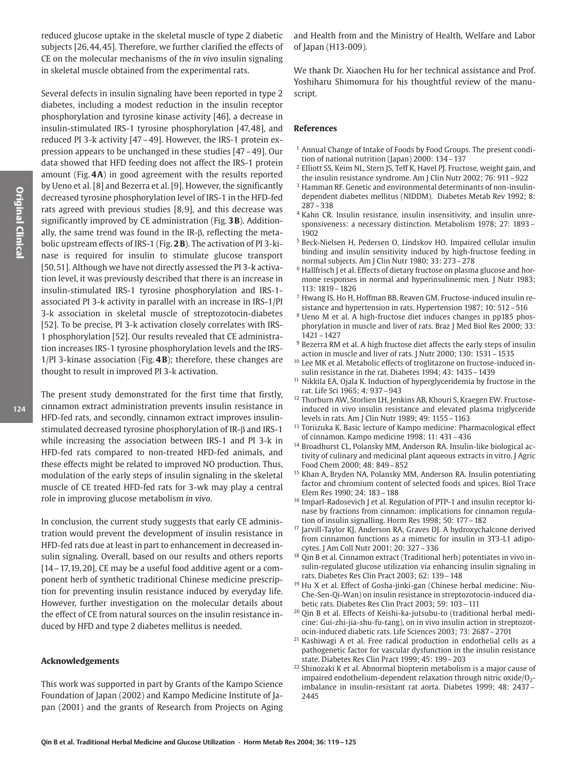reduced glucose uptake in the skeletal muscle of type 2 diabetic subjects [26, 44, 45]. Therefore, we further clarified the effects of CE on the molecular mechanisms of the *in vivo* insulin signaling in skeletal muscle obtained from the experimental rats.

Several defects in insulin signaling have been reported in type 2 diabetes, including a modest reduction in the insulin receptor phosphorylation and tyrosine kinase activity [46], a decrease in insulin-stimulated IRS-1 tyrosine phosphorylation [47,48], and reduced PI 3-k activity [47-49]. However, the IRS-1 protein expression appears to be unchanged in these studies [47 – 49]. Our data showed that HFD feeding does not affect the IRS-1 protein amount (Fig. 4A) in good agreement with the results reported by Ueno et al. [8] and Bezerra et al. [9]. However, the significantly decreased tyrosine phosphorylation level of IRS-1 in the HFD-fed rats agreed with previous studies [8,9], and this decrease was significantly improved by CE administration (Fig. 3B). Additionally, the same trend was found in the IR- $\beta$ , reflecting the metabolic upstream effects of IRS-1 (Fig. 2B). The activation of PI 3-kinase is required for insulin to stimulate glucose transport [50,51]. Although we have not directly assessed the PI 3-k activation level, it was previously described that there is an increase in insulin-stimulated IRS-1 tyrosine phosphorylation and IRS-1associated PI 3-k activity in parallel with an increase in IRS-1/PI 3-k association in skeletal muscle of streptozotocin-diabetes [52]. To be precise, PI 3-k activation closely correlates with IRS-1 phosphorylation [52]. Our results revealed that CE administration increases IRS-1 tyrosine phosphorylation levels and the IRS- $1$ /PI 3-kinase association (Fig. 4B); therefore, these changes are thought to result in improved PI 3-k activation.

The present study demonstrated for the first time that firstly, cinnamon extract administration prevents insulin resistance in HFD-fed rats, and secondly, cinnamon extract improves insulinstimulated decreased tyrosine phosphorylation of IR-B and IRS-1 while increasing the association between IRS-1 and PI 3-k in HFD-fed rats compared to non-treated HFD-fed animals, and these effects might be related to improved NO production. Thus, modulation of the early steps of insulin signaling in the skeletal muscle of CE treated HFD-fed rats for 3-wk may play a central role in improving glucose metabolism in vivo.

In conclusion, the current study suggests that early CE administration would prevent the development of insulin resistance in HFD-fed rats due at least in part to enhancement in decreased insulin signaling. Overall, based on our results and others reports  $[14 - 17, 19, 20]$ , CE may be a useful food additive agent or a component herb of synthetic traditional Chinese medicine prescription for preventing insulin resistance induced by everyday life. However, further investigation on the molecular details about the effect of CE from natural sources on the insulin resistance induced by HFD and type 2 diabetes mellitus is needed.

#### **Acknowledgements**

This work was supported in part by Grants of the Kampo Science Foundation of Japan (2002) and Kampo Medicine Institute of Japan (2001) and the grants of Research from Projects on Aging and Health from and the Ministry of Health. Welfare and Labor of Japan (H13-009).

We thank Dr. Xiaochen Hu for her technical assistance and Prof. Yoshiharu Shimomura for his thoughtful review of the manuscript.

#### **References**

- <sup>1</sup> Annual Change of Intake of Foods by Food Groups. The present condition of national nutrition (Japan) 2000: 134-137
- <sup>2</sup> Elliott SS, Keim NL, Stern JS, Teff K, Havel PJ. Fructose, weight gain, and the insulin resistance syndrome. Am J Clin Nutr 2002; 76: 911 - 922
- <sup>3</sup> Hamman RF. Genetic and environmental determinants of non-insulindependent diabetes mellitus (NIDDM). Diabetes Metab Rev 1992; 8:  $287 - 338$
- <sup>4</sup> Kahn CR. Insulin resistance, insulin insensitivity, and insulin unresponsiveness: a necessary distinction. Metabolism 1978; 27: 1893 -1902
- <sup>5</sup> Beck-Nielsen H, Pedersen O, Lindskov HO. Impaired cellular insulin binding and insulin sensitivity induced by high-fructose feeding in normal subjects. Am J Clin Nutr 1980; 33: 273-278
- <sup>6</sup> Hallfrisch J et al. Effects of dietary fructose on plasma glucose and hormone responses in normal and hyperinsulinemic men. J Nutr 1983; 113: 1819 - 1826
- <sup>7</sup> Hwang IS, Ho H, Hoffman BB, Reaven GM. Fructose-induced insulin resistance and hypertension in rats. Hypertension 1987; 10: 512 - 516
- <sup>8</sup> Ueno M et al. A high-fructose diet induces changes in pp185 phosphorylation in muscle and liver of rats. Braz J Med Biol Res 2000; 33:  $1421 - 1427$
- <sup>9</sup> Bezerra RM et al. A high fructose diet affects the early steps of insulin action in muscle and liver of rats. J Nutr 2000; 130: 1531 - 1535
- <sup>10</sup> Lee MK et al. Metabolic effects of troglitazone on fructose-induced insulin resistance in the rat. Diabetes 1994; 43: 1435 - 1439
- <sup>11</sup> Nikkila EA, Ojala K. Induction of hyperglyceridemia by fructose in the rat. Life Sci 1965; 4: 937-943
- <sup>12</sup> Thorburn AW, Storlien LH, Jenkins AB, Khouri S, Kraegen EW. Fructoseinduced in vivo insulin resistance and elevated plasma triglyceride levels in rats. Am J Clin Nutr 1989; 49: 1155 - 1163
- <sup>13</sup> Toriizuka K. Basic lecture of Kampo medicine: Pharmacological effect of cinnamon. Kampo medicine 1998; 11: 431-436
- <sup>14</sup> Broadhurst CL, Polansky MM, Anderson RA. Insulin-like biological activity of culinary and medicinal plant aqueous extracts in vitro. J Agric Food Chem 2000; 48: 849-852
- <sup>15</sup> Khan A, Bryden NA, Polansky MM, Anderson RA. Insulin potentiating factor and chromium content of selected foods and spices. Biol Trace Elem Res 1990: 24: 183-188
- <sup>16</sup> Imparl-Radosevich J et al. Regulation of PTP-1 and insulin receptor kinase by fractions from cinnamon: implications for cinnamon regulation of insulin signalling. Horm Res 1998; 50: 177 - 182
- <sup>17</sup> Jarvill-Taylor KJ, Anderson RA, Graves DJ. A hydroxychalcone derived from cinnamon functions as a mimetic for insulin in 3T3-L1 adipocytes. J Am Coll Nutr 2001; 20: 327-336
- <sup>18</sup> Qin B et al. Cinnamon extract (Traditional herb) potentiates in vivo insulin-regulated glucose utilization via enhancing insulin signaling in rats. Diabetes Res Clin Pract 2003; 62: 139-148
- <sup>19</sup> Hu X et al. Effect of Gosha-jinki-gan (Chinese herbal medicine: Niu-Che-Sen-Qi-Wan) on insulin resistance in streptozotocin-induced diabetic rats. Diabetes Res Clin Pract 2003; 59: 103-111
- <sup>20</sup> Qin B et al. Effects of Keishi-ka-jutsubu-to (traditional herbal medicine: Gui-zhi-jia-shu-fu-tang), on in vivo insulin action in streptozotocin-induced diabetic rats. Life Sciences 2003; 73: 2687-2701
- <sup>21</sup> Kashiwagi A et al. Free radical production in endothelial cells as a pathogenetic factor for vascular dysfunction in the insulin resistance state. Diabetes Res Clin Pract 1999; 45: 199-203
- <sup>22</sup> Shinozaki K et al. Abnormal biopterin metabolism is a major cause of impaired endothelium-dependent relaxation through nitric oxide/ $O<sub>2</sub>$ imbalance in insulin-resistant rat aorta. Diabetes 1999; 48: 2437-2445